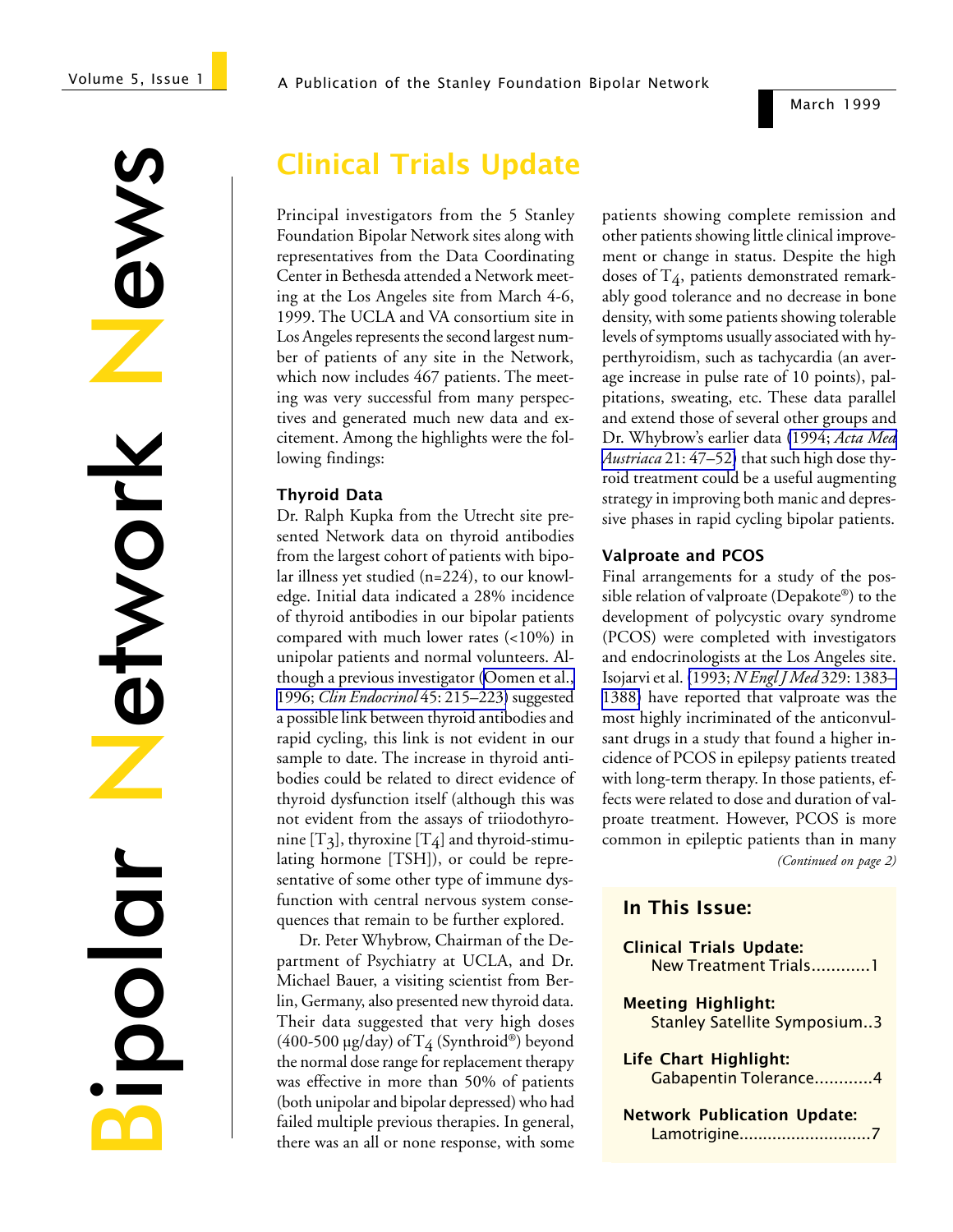#### A Publication of the Stanley Foundation Bipolar Network

News Network **STWOrk** DIOOI

# Clinical Trials Update

Principal investigators from the 5 Stanley Foundation Bipolar Network sites along with representatives from the Data Coordinating Center in Bethesda attended a Network meeting at the Los Angeles site from March 4-6, 1999. The UCLA and VA consortium site in Los Angeles represents the second largest number of patients of any site in the Network, which now includes 467 patients. The meeting was very successful from many perspectives and generated much new data and excitement. Among the highlights were the following findings:

### Thyroid Data

Dr. Ralph Kupka from the Utrecht site presented Network data on thyroid antibodies from the largest cohort of patients with bipolar illness yet studied (n=224), to our knowledge. Initial data indicated a 28% incidence of thyroid antibodies in our bipolar patients compared with much lower rates (<10%) in unipolar patients and normal volunteers. Although a previous investigator ([Oomen et al.,](http://www.ncbi.nlm.nih.gov/entrez/query.fcgi?cmd=Retrieve&db=PubMed&list_uids=8881455&dopt=Abstract) 1996; *[Clin Endocrinol](http://www.ncbi.nlm.nih.gov/entrez/query.fcgi?cmd=Retrieve&db=PubMed&list_uids=8881455&dopt=Abstract)* 45: 215–223) suggested a possible link between thyroid antibodies and rapid cycling, this link is not evident in our sample to date. The increase in thyroid antibodies could be related to direct evidence of thyroid dysfunction itself (although this was not evident from the assays of triiodothyronine  $[T_3]$ , thyroxine  $[T_4]$  and thyroid-stimulating hormone [TSH]), or could be representative of some other type of immune dysfunction with central nervous system consequences that remain to be further explored.

Dr. Peter Whybrow, Chairman of the Department of Psychiatry at UCLA, and Dr. Michael Bauer, a visiting scientist from Berlin, Germany, also presented new thyroid data. Their data suggested that very high doses (400-500 µg/day) of  $T_4$  (Synthroid®) beyond the normal dose range for replacement therapy was effective in more than 50% of patients (both unipolar and bipolar depressed) who had failed multiple previous therapies. In general, there was an all or none response, with some

patients showing complete remission and other patients showing little clinical improvement or change in status. Despite the high doses of  $T_4$ , patients demonstrated remarkably good tolerance and no decrease in bone density, with some patients showing tolerable levels of symptoms usually associated with hyperthyroidism, such as tachycardia (an average increase in pulse rate of 10 points), palpitations, sweating, etc. These data parallel and extend those of several other groups and Dr. Whybrow's earlier data (1994; *[Acta Med](http://www.ncbi.nlm.nih.gov/entrez/query.fcgi?cmd=Retrieve&db=PubMed&list_uids=7998482&dopt=Abstract) Austriaca* [21: 47–52\)](http://www.ncbi.nlm.nih.gov/entrez/query.fcgi?cmd=Retrieve&db=PubMed&list_uids=7998482&dopt=Abstract) that such high dose thyroid treatment could be a useful augmenting strategy in improving both manic and depressive phases in rapid cycling bipolar patients.

### Valproate and PCOS

Final arrangements for a study of the possible relation of valproate (Depakote®) to the development of polycystic ovary syndrome (PCOS) were completed with investigators and endocrinologists at the Los Angeles site. Isojarvi et al. (1993; *[N Engl J Med](http://www.ncbi.nlm.nih.gov/entrez/query.fcgi?cmd=Retrieve&db=PubMed&list_uids=8413434&dopt=Abstract)* 329: 1383– [1388\)](http://www.ncbi.nlm.nih.gov/entrez/query.fcgi?cmd=Retrieve&db=PubMed&list_uids=8413434&dopt=Abstract) have reported that valproate was the most highly incriminated of the anticonvulsant drugs in a study that found a higher incidence of PCOS in epilepsy patients treated with long-term therapy. In those patients, effects were related to dose and duration of valproate treatment. However, PCOS is more common in epileptic patients than in many *(Continued on page 2)*

### In This Issue:

| <b>Clinical Trials Update:</b><br>New Treatment Trials1          |
|------------------------------------------------------------------|
| <b>Meeting Highlight:</b><br><b>Stanley Satellite Symposium3</b> |
| Life Chart Highlight:<br>Gabapentin Tolerance4                   |
| <b>Network Publication Update:</b><br>Lamotrigine7               |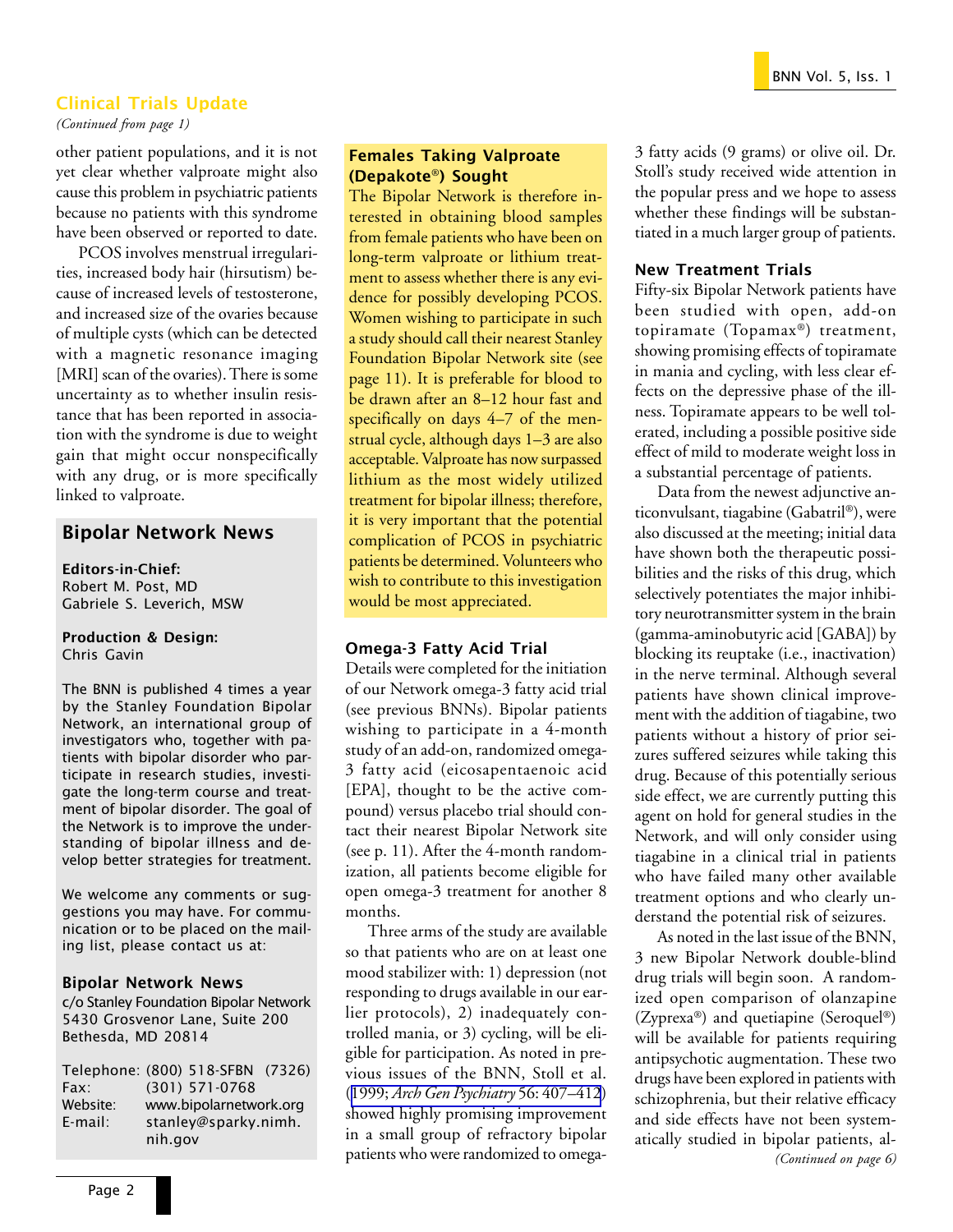### Clinical Trials Update

*(Continued from page 1)*

other patient populations, and it is not yet clear whether valproate might also cause this problem in psychiatric patients because no patients with this syndrome have been observed or reported to date.

PCOS involves menstrual irregularities, increased body hair (hirsutism) because of increased levels of testosterone, and increased size of the ovaries because of multiple cysts (which can be detected with a magnetic resonance imaging [MRI] scan of the ovaries). There is some uncertainty as to whether insulin resistance that has been reported in association with the syndrome is due to weight gain that might occur nonspecifically with any drug, or is more specifically linked to valproate.

### Bipolar Network News

Editors-in-Chief: Robert M. Post, MD Gabriele S. Leverich, MSW

#### Production & Design: Chris Gavin

The BNN is published 4 times a year by the Stanley Foundation Bipolar Network, an international group of investigators who, together with patients with bipolar disorder who participate in research studies, investigate the long-term course and treatment of bipolar disorder. The goal of the Network is to improve the understanding of bipolar illness and develop better strategies for treatment.

We welcome any comments or suggestions you may have. For communication or to be placed on the mailing list, please contact us at:

#### Bipolar Network News

c/o Stanley Foundation Bipolar Network 5430 Grosvenor Lane, Suite 200 Bethesda, MD 20814

|            | Telephone: (800) 518-SFBN (7326) |  |
|------------|----------------------------------|--|
| Fax:       | $(301)$ 571-0768                 |  |
| Website:   | www.bipolarnetwork.org           |  |
| $E$ -mail: | stanley@sparky.nimh.             |  |
|            | nih.gov                          |  |

### Females Taking Valproate (Depakote**®**) Sought

The Bipolar Network is therefore interested in obtaining blood samples from female patients who have been on long-term valproate or lithium treatment to assess whether there is any evidence for possibly developing PCOS. Women wishing to participate in such a study should call their nearest Stanley Foundation Bipolar Network site (see page 11). It is preferable for blood to be drawn after an 8–12 hour fast and specifically on days 4–7 of the menstrual cycle, although days 1–3 are also acceptable. Valproate has now surpassed lithium as the most widely utilized treatment for bipolar illness; therefore, it is very important that the potential complication of PCOS in psychiatric patients be determined. Volunteers who wish to contribute to this investigation would be most appreciated.

### Omega-3 Fatty Acid Trial

Details were completed for the initiation of our Network omega-3 fatty acid trial (see previous BNNs). Bipolar patients wishing to participate in a 4-month study of an add-on, randomized omega-3 fatty acid (eicosapentaenoic acid [EPA], thought to be the active compound) versus placebo trial should contact their nearest Bipolar Network site (see p. 11). After the 4-month randomization, all patients become eligible for open omega-3 treatment for another 8 months.

Three arms of the study are available so that patients who are on at least one mood stabilizer with: 1) depression (not responding to drugs available in our earlier protocols), 2) inadequately controlled mania, or 3) cycling, will be eligible for participation. As noted in previous issues of the BNN, Stoll et al. (1999; *[Arch Gen Psychiatry](http://www.ncbi.nlm.nih.gov/entrez/query.fcgi?cmd=Retrieve&db=PubMed&list_uids=10232294&dopt=Abstract)* 56: 407–412) showed highly promising improvement in a small group of refractory bipolar patients who were randomized to omega3 fatty acids (9 grams) or olive oil. Dr. Stoll's study received wide attention in the popular press and we hope to assess whether these findings will be substantiated in a much larger group of patients.

### New Treatment Trials

Fifty-six Bipolar Network patients have been studied with open, add-on topiramate (Topamax®) treatment, showing promising effects of topiramate in mania and cycling, with less clear effects on the depressive phase of the illness. Topiramate appears to be well tolerated, including a possible positive side effect of mild to moderate weight loss in a substantial percentage of patients.

Data from the newest adjunctive anticonvulsant, tiagabine (Gabatril®), were also discussed at the meeting; initial data have shown both the therapeutic possibilities and the risks of this drug, which selectively potentiates the major inhibitory neurotransmitter system in the brain (gamma-aminobutyric acid [GABA]) by blocking its reuptake (i.e., inactivation) in the nerve terminal. Although several patients have shown clinical improvement with the addition of tiagabine, two patients without a history of prior seizures suffered seizures while taking this drug. Because of this potentially serious side effect, we are currently putting this agent on hold for general studies in the Network, and will only consider using tiagabine in a clinical trial in patients who have failed many other available treatment options and who clearly understand the potential risk of seizures.

As noted in the last issue of the BNN, 3 new Bipolar Network double-blind drug trials will begin soon. A randomized open comparison of olanzapine (Zyprexa®) and quetiapine (Seroquel®) will be available for patients requiring antipsychotic augmentation. These two drugs have been explored in patients with schizophrenia, but their relative efficacy and side effects have not been systematically studied in bipolar patients, al-<br>(Continued on page 6)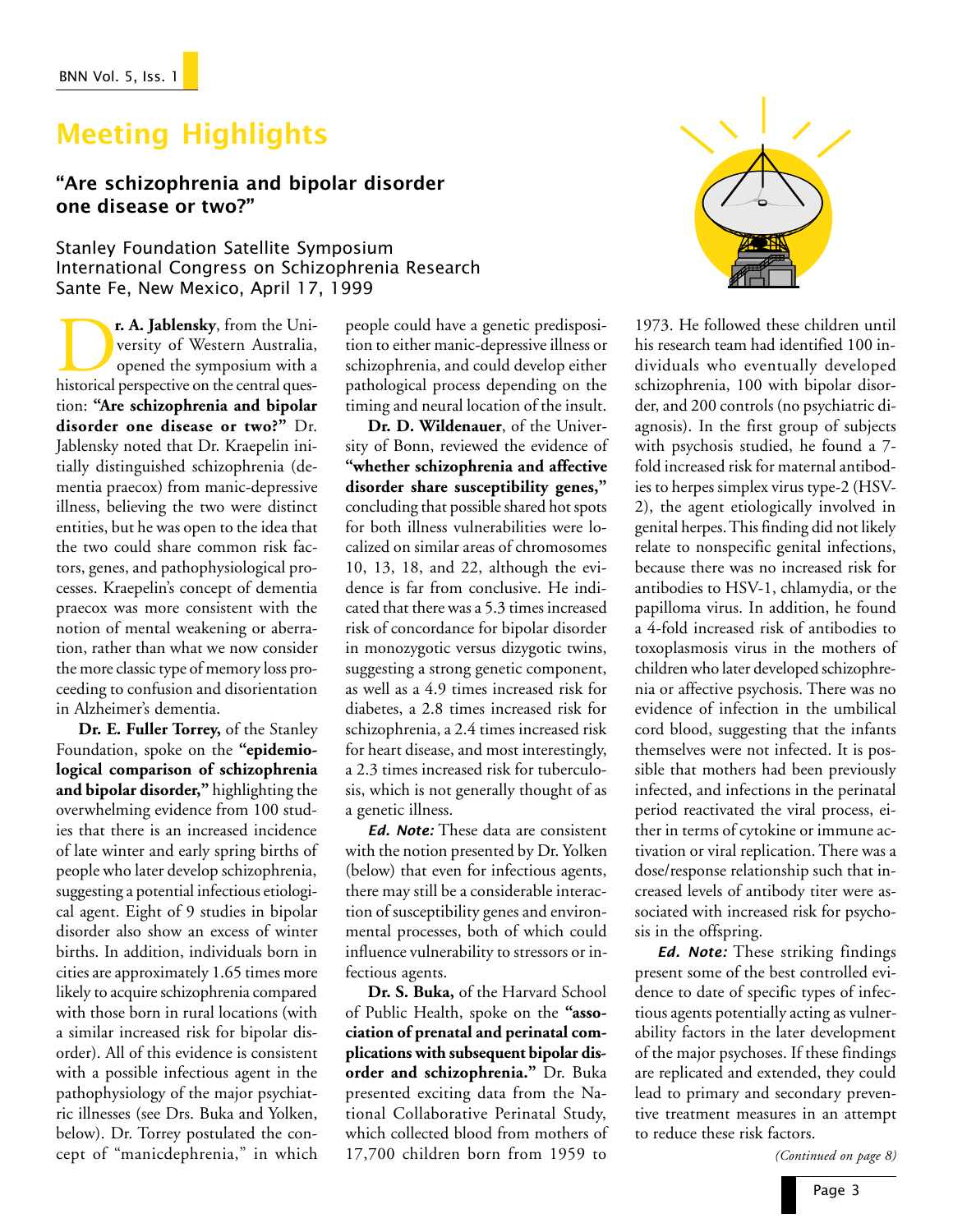# Meeting Highlights

## Are schizophrenia and bipolar disorder one disease or two?

Stanley Foundation Satellite Symposium International Congress on Schizophrenia Research Sante Fe, New Mexico, April 17, 1999

**Pr. A. Jablensky**, from the University of Western Australia, opened the symposium with a historical perspective on the central quesversity of Western Australia, opened the symposium with a tion: **"Are schizophrenia and bipolar disorder one disease or two?"** Dr. Jablensky noted that Dr. Kraepelin initially distinguished schizophrenia (dementia praecox) from manic-depressive illness, believing the two were distinct entities, but he was open to the idea that the two could share common risk factors, genes, and pathophysiological processes. Kraepelin's concept of dementia praecox was more consistent with the notion of mental weakening or aberration, rather than what we now consider the more classic type of memory loss proceeding to confusion and disorientation in Alzheimer's dementia.

**Dr. E. Fuller Torrey,** of the Stanley Foundation, spoke on the **"epidemiological comparison of schizophrenia and bipolar disorder,"** highlighting the overwhelming evidence from 100 studies that there is an increased incidence of late winter and early spring births of people who later develop schizophrenia, suggesting a potential infectious etiological agent. Eight of 9 studies in bipolar disorder also show an excess of winter births. In addition, individuals born in cities are approximately 1.65 times more likely to acquire schizophrenia compared with those born in rural locations (with a similar increased risk for bipolar disorder). All of this evidence is consistent with a possible infectious agent in the pathophysiology of the major psychiatric illnesses (see Drs. Buka and Yolken, below). Dr. Torrey postulated the concept of "manicdephrenia," in which

people could have a genetic predisposition to either manic-depressive illness or schizophrenia, and could develop either pathological process depending on the timing and neural location of the insult.

**Dr. D. Wildenauer**, of the University of Bonn, reviewed the evidence of **"whether schizophrenia and affective disorder share susceptibility genes,"** concluding that possible shared hot spots for both illness vulnerabilities were localized on similar areas of chromosomes 10, 13, 18, and 22, although the evidence is far from conclusive. He indicated that there was a 5.3 times increased risk of concordance for bipolar disorder in monozygotic versus dizygotic twins, suggesting a strong genetic component, as well as a 4.9 times increased risk for diabetes, a 2.8 times increased risk for schizophrenia, a 2.4 times increased risk for heart disease, and most interestingly, a 2.3 times increased risk for tuberculosis, which is not generally thought of as a genetic illness.

Ed. Note: These data are consistent with the notion presented by Dr. Yolken (below) that even for infectious agents, there may still be a considerable interaction of susceptibility genes and environmental processes, both of which could influence vulnerability to stressors or infectious agents.

**Dr. S. Buka,** of the Harvard School of Public Health, spoke on the **"association of prenatal and perinatal complications with subsequent bipolar disorder and schizophrenia."** Dr. Buka presented exciting data from the National Collaborative Perinatal Study, which collected blood from mothers of 17,700 children born from 1959 to



1973. He followed these children until his research team had identified 100 individuals who eventually developed schizophrenia, 100 with bipolar disorder, and 200 controls (no psychiatric diagnosis). In the first group of subjects with psychosis studied, he found a 7 fold increased risk for maternal antibodies to herpes simplex virus type-2 (HSV-2), the agent etiologically involved in genital herpes. This finding did not likely relate to nonspecific genital infections, because there was no increased risk for antibodies to HSV-1, chlamydia, or the papilloma virus. In addition, he found a 4-fold increased risk of antibodies to toxoplasmosis virus in the mothers of children who later developed schizophrenia or affective psychosis. There was no evidence of infection in the umbilical cord blood, suggesting that the infants themselves were not infected. It is possible that mothers had been previously infected, and infections in the perinatal period reactivated the viral process, either in terms of cytokine or immune activation or viral replication. There was a dose/response relationship such that increased levels of antibody titer were associated with increased risk for psychosis in the offspring.

Ed. Note: These striking findings present some of the best controlled evidence to date of specific types of infectious agents potentially acting as vulnerability factors in the later development of the major psychoses. If these findings are replicated and extended, they could lead to primary and secondary preventive treatment measures in an attempt to reduce these risk factors.

*(Continued on page 8)*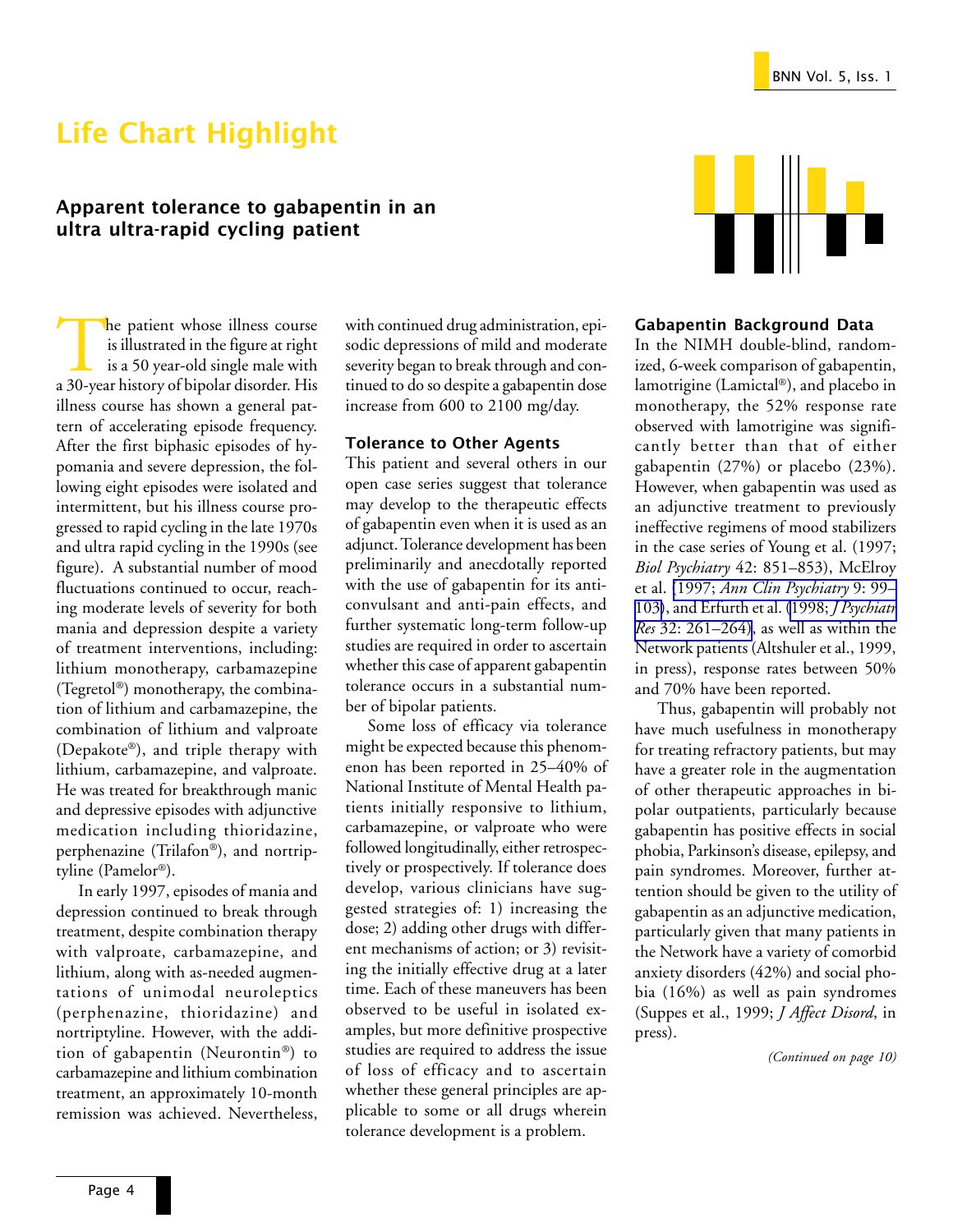# Life Chart Highlight

### Apparent tolerance to gabapentin in an ultra ultra-rapid cycling patient

The patient whose illness course<br>is illustrated in the figure at right<br>is a 50 year-old single male with<br>a 30-year history of bipolar disorder. His is illustrated in the figure at right is a 50 year-old single male with a 30-year history of bipolar disorder. His illness course has shown a general pattern of accelerating episode frequency. After the first biphasic episodes of hypomania and severe depression, the following eight episodes were isolated and intermittent, but his illness course progressed to rapid cycling in the late 1970s and ultra rapid cycling in the 1990s (see figure). A substantial number of mood fluctuations continued to occur, reaching moderate levels of severity for both mania and depression despite a variety of treatment interventions, including: lithium monotherapy, carbamazepine (Tegretol®) monotherapy, the combination of lithium and carbamazepine, the combination of lithium and valproate (Depakote®), and triple therapy with lithium, carbamazepine, and valproate. He was treated for breakthrough manic and depressive episodes with adjunctive medication including thioridazine, perphenazine (Trilafon®), and nortriptyline (Pamelor®).

In early 1997, episodes of mania and depression continued to break through treatment, despite combination therapy with valproate, carbamazepine, and lithium, along with as-needed augmentations of unimodal neuroleptics (perphenazine, thioridazine) and nortriptyline. However, with the addition of gabapentin (Neurontin®) to carbamazepine and lithium combination treatment, an approximately 10-month remission was achieved. Nevertheless, with continued drug administration, episodic depressions of mild and moderate severity began to break through and continued to do so despite a gabapentin dose increase from 600 to 2100 mg/day.

### Tolerance to Other Agents

This patient and several others in our open case series suggest that tolerance may develop to the therapeutic effects of gabapentin even when it is used as an adjunct. Tolerance development has been preliminarily and anecdotally reported with the use of gabapentin for its anticonvulsant and anti-pain effects, and further systematic long-term follow-up studies are required in order to ascertain whether this case of apparent gabapentin tolerance occurs in a substantial number of bipolar patients.

Some loss of efficacy via tolerance might be expected because this phenomenon has been reported in 25–40% of National Institute of Mental Health patients initially responsive to lithium, carbamazepine, or valproate who were followed longitudinally, either retrospectively or prospectively. If tolerance does develop, various clinicians have suggested strategies of: 1) increasing the dose; 2) adding other drugs with different mechanisms of action; or 3) revisiting the initially effective drug at a later time. Each of these maneuvers has been observed to be useful in isolated examples, but more definitive prospective studies are required to address the issue of loss of efficacy and to ascertain whether these general principles are applicable to some or all drugs wherein tolerance development is a problem.



### Gabapentin Background Data

In the NIMH double-blind, randomized, 6-week comparison of gabapentin, lamotrigine (Lamictal®), and placebo in monotherapy, the 52% response rate observed with lamotrigine was significantly better than that of either gabapentin (27%) or placebo (23%). However, when gabapentin was used as an adjunctive treatment to previously ineffective regimens of mood stabilizers in the case series of Young et al. (1997; *Biol Psychiatry* 42: 851–853), McElroy et al. (1997; *[Ann Clin Psychiatry](http://www.ncbi.nlm.nih.gov/entrez/query.fcgi?cmd=Retrieve&db=PubMed&list_uids=9242896&dopt=Abstract)* 9: 99– [103\)](http://www.ncbi.nlm.nih.gov/entrez/query.fcgi?cmd=Retrieve&db=PubMed&list_uids=9242896&dopt=Abstract), and Erfurth et al. (1998; *[J Psychiatr](http://www.ncbi.nlm.nih.gov/entrez/query.fcgi?cmd=Retrieve&db=PubMed&list_uids=9789203&dopt=Abstract) Res* [32: 261–264\)](http://www.ncbi.nlm.nih.gov/entrez/query.fcgi?cmd=Retrieve&db=PubMed&list_uids=9789203&dopt=Abstract), as well as within the Network patients (Altshuler et al., 1999, in press), response rates between 50% and 70% have been reported.

Thus, gabapentin will probably not have much usefulness in monotherapy for treating refractory patients, but may have a greater role in the augmentation of other therapeutic approaches in bipolar outpatients, particularly because gabapentin has positive effects in social phobia, Parkinson's disease, epilepsy, and pain syndromes. Moreover, further attention should be given to the utility of gabapentin as an adjunctive medication, particularly given that many patients in the Network have a variety of comorbid anxiety disorders (42%) and social phobia (16%) as well as pain syndromes (Suppes et al., 1999; *J Affect Disord*, in press).

*(Continued on page 10)*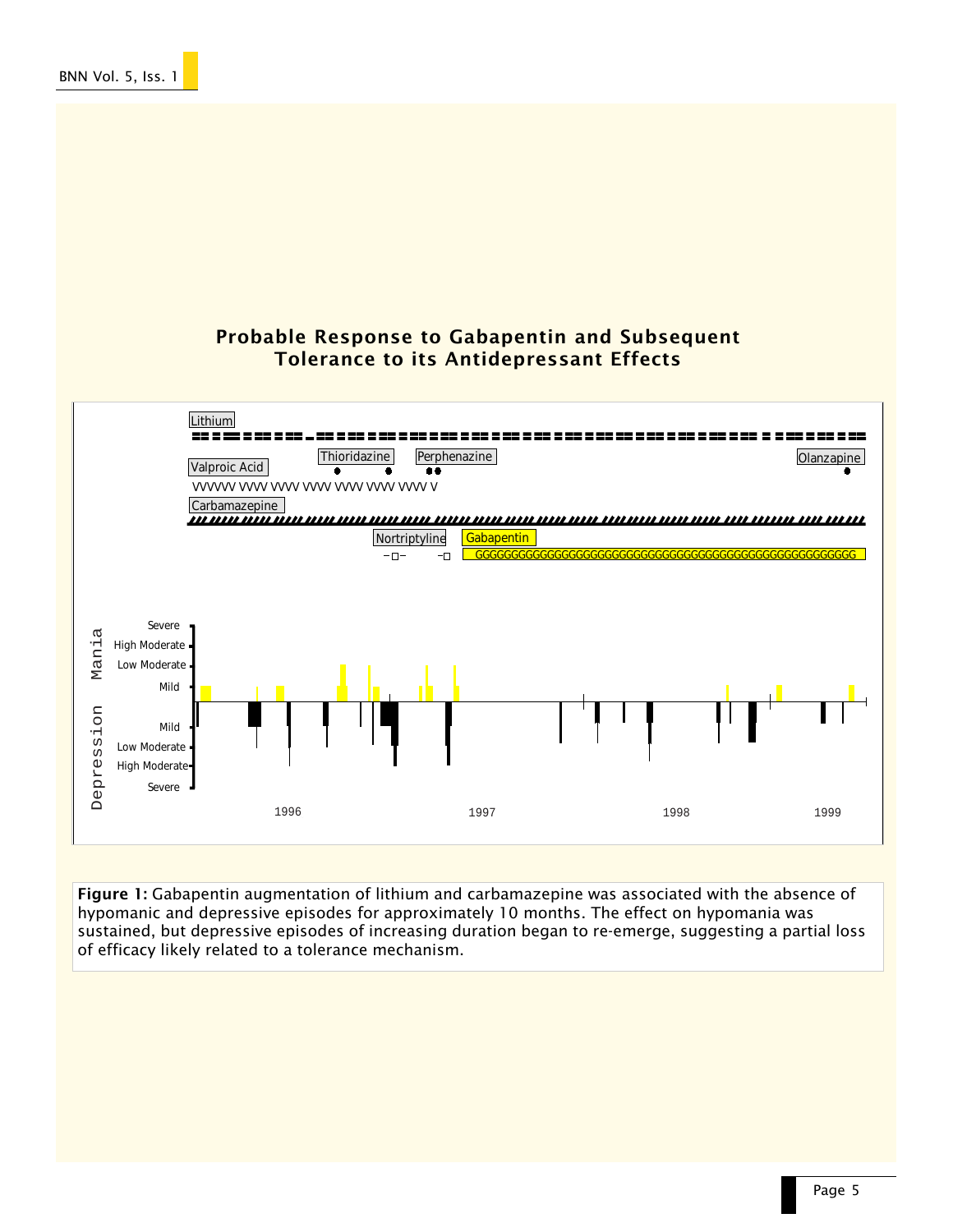## Probable Response to Gabapentin and Subsequent Tolerance to its Antidepressant Effects



Figure 1: Gabapentin augmentation of lithium and carbamazepine was associated with the absence of hypomanic and depressive episodes for approximately 10 months. The effect on hypomania was sustained, but depressive episodes of increasing duration began to re-emerge, suggesting a partial loss of efficacy likely related to a tolerance mechanism.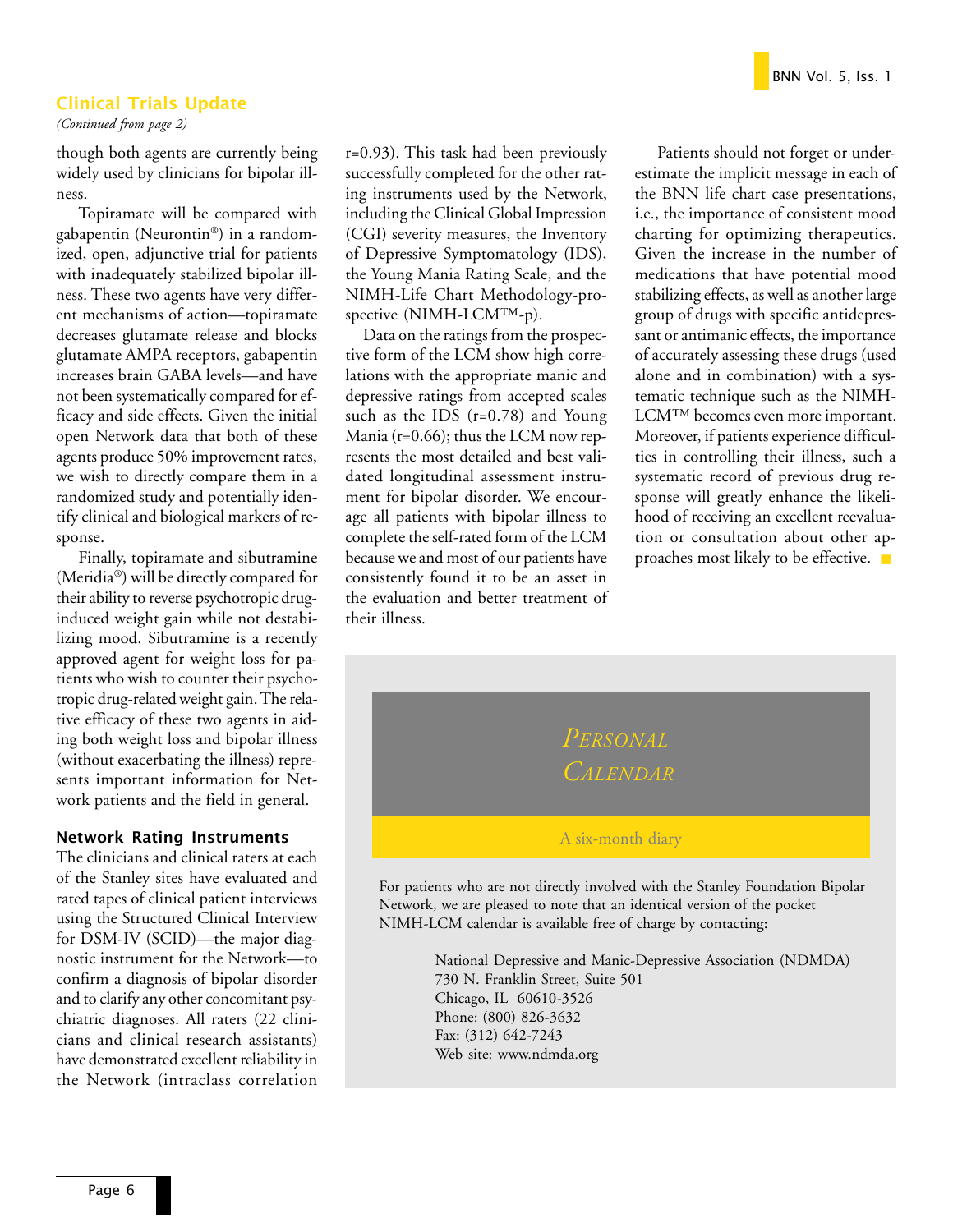### Clinical Trials Update

*(Continued from page 2)*

though both agents are currently being widely used by clinicians for bipolar illness.

Topiramate will be compared with gabapentin (Neurontin®) in a randomized, open, adjunctive trial for patients with inadequately stabilized bipolar illness. These two agents have very different mechanisms of action—topiramate decreases glutamate release and blocks glutamate AMPA receptors, gabapentin increases brain GABA levels—and have not been systematically compared for efficacy and side effects. Given the initial open Network data that both of these agents produce 50% improvement rates, we wish to directly compare them in a randomized study and potentially identify clinical and biological markers of response.

Finally, topiramate and sibutramine (Meridia®) will be directly compared for their ability to reverse psychotropic druginduced weight gain while not destabilizing mood. Sibutramine is a recently approved agent for weight loss for patients who wish to counter their psychotropic drug-related weight gain. The relative efficacy of these two agents in aiding both weight loss and bipolar illness (without exacerbating the illness) represents important information for Network patients and the field in general.

### Network Rating Instruments

The clinicians and clinical raters at each of the Stanley sites have evaluated and rated tapes of clinical patient interviews using the Structured Clinical Interview for DSM-IV (SCID)—the major diagnostic instrument for the Network—to confirm a diagnosis of bipolar disorder and to clarify any other concomitant psychiatric diagnoses. All raters (22 clinicians and clinical research assistants) have demonstrated excellent reliability in the Network (intraclass correlation

r=0.93). This task had been previously successfully completed for the other rating instruments used by the Network, including the Clinical Global Impression (CGI) severity measures, the Inventory of Depressive Symptomatology (IDS), the Young Mania Rating Scale, and the NIMH-Life Chart Methodology-prospective (NIMH-LCM™-p).

Data on the ratings from the prospective form of the LCM show high correlations with the appropriate manic and depressive ratings from accepted scales such as the IDS  $(r=0.78)$  and Young Mania (r=0.66); thus the LCM now represents the most detailed and best validated longitudinal assessment instrument for bipolar disorder. We encourage all patients with bipolar illness to complete the self-rated form of the LCM because we and most of our patients have consistently found it to be an asset in the evaluation and better treatment of their illness.

Patients should not forget or underestimate the implicit message in each of the BNN life chart case presentations, i.e., the importance of consistent mood charting for optimizing therapeutics. Given the increase in the number of medications that have potential mood stabilizing effects, as well as another large group of drugs with specific antidepressant or antimanic effects, the importance of accurately assessing these drugs (used alone and in combination) with a systematic technique such as the NIMH-LCM™ becomes even more important. Moreover, if patients experience difficulties in controlling their illness, such a systematic record of previous drug response will greatly enhance the likelihood of receiving an excellent reevaluation or consultation about other approaches most likely to be effective. ■



For patients who are not directly involved with the Stanley Foundation Bipolar Network, we are pleased to note that an identical version of the pocket NIMH-LCM calendar is available free of charge by contacting:

> National Depressive and Manic-Depressive Association (NDMDA) 730 N. Franklin Street, Suite 501 Chicago, IL 60610-3526 Phone: (800) 826-3632 Fax: (312) 642-7243 Web site: www.ndmda.org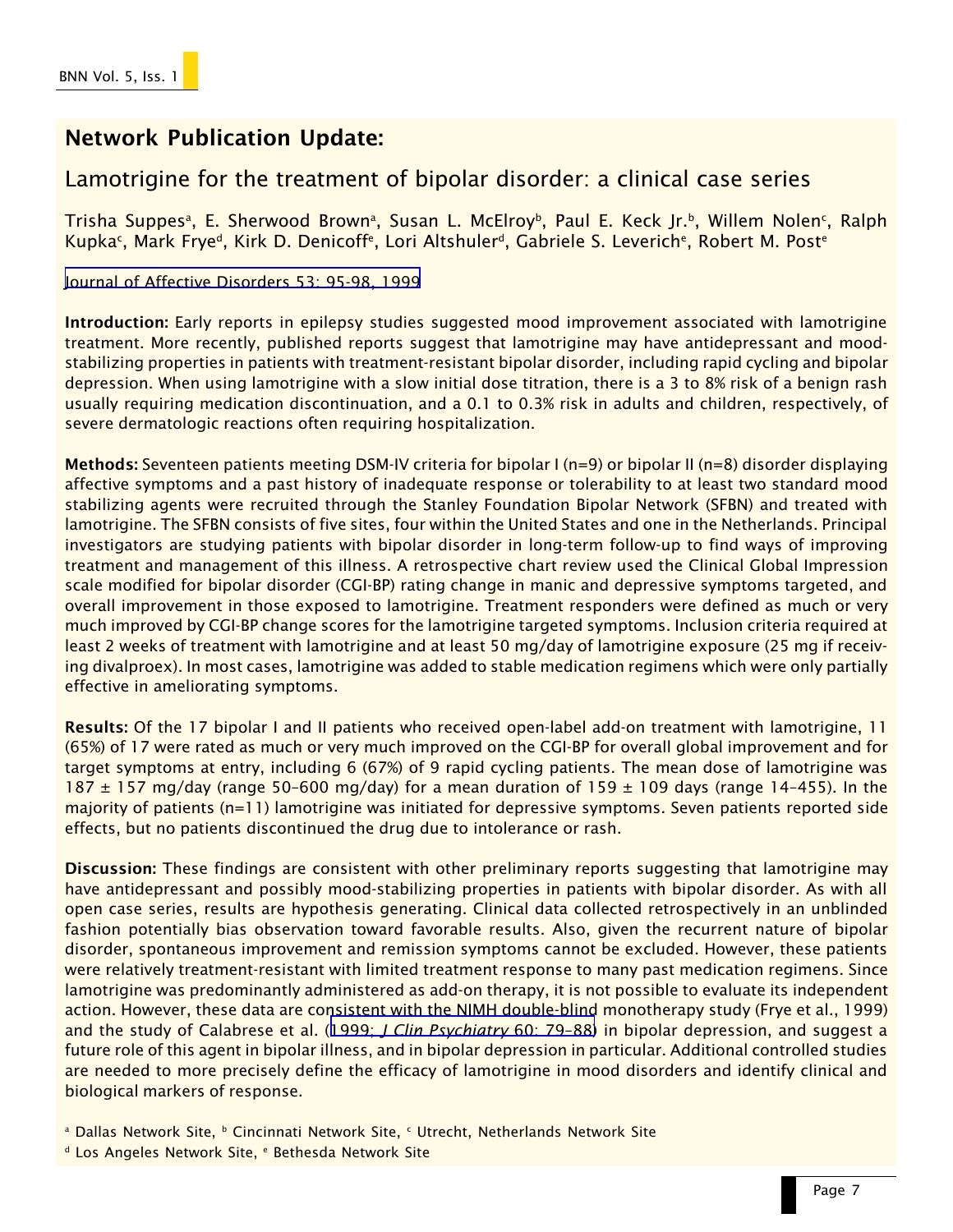# Network Publication Update:

# Lamotrigine for the treatment of bipolar disorder: a clinical case series

Trisha Suppesª, E. Sherwood Brownª, Susan L. McElroyb, Paul E. Keck Jr.b, Willem Nolen<sup>c</sup>, Ralph Kupka<sup>c</sup>, Mark Frye<sup>d</sup>, Kirk D. Denicoff<sup>e</sup>, Lori Altshuler<sup>d</sup>, Gabriele S. Leverich<sup>e</sup>, Robert M. Post<sup>e</sup>

[Journal of Affective Disorders 53: 95-98, 1999](http://www.ncbi.nlm.nih.gov/entrez/query.fcgi?cmd=Retrieve&db=PubMed&list_uids=10363672&dopt=Abstract)

Introduction: Early reports in epilepsy studies suggested mood improvement associated with lamotrigine treatment. More recently, published reports suggest that lamotrigine may have antidepressant and moodstabilizing properties in patients with treatment-resistant bipolar disorder, including rapid cycling and bipolar depression. When using lamotrigine with a slow initial dose titration, there is a 3 to 8% risk of a benign rash usually requiring medication discontinuation, and a 0.1 to 0.3% risk in adults and children, respectively, of severe dermatologic reactions often requiring hospitalization.

Methods: Seventeen patients meeting DSM-IV criteria for bipolar I (n=9) or bipolar II (n=8) disorder displaying affective symptoms and a past history of inadequate response or tolerability to at least two standard mood stabilizing agents were recruited through the Stanley Foundation Bipolar Network (SFBN) and treated with lamotrigine. The SFBN consists of five sites, four within the United States and one in the Netherlands. Principal investigators are studying patients with bipolar disorder in long-term follow-up to find ways of improving treatment and management of this illness. A retrospective chart review used the Clinical Global Impression scale modified for bipolar disorder (CGI-BP) rating change in manic and depressive symptoms targeted, and overall improvement in those exposed to lamotrigine. Treatment responders were defined as much or very much improved by CGI-BP change scores for the lamotrigine targeted symptoms. Inclusion criteria required at least 2 weeks of treatment with lamotrigine and at least 50 mg/day of lamotrigine exposure (25 mg if receiving divalproex). In most cases, lamotrigine was added to stable medication regimens which were only partially effective in ameliorating symptoms.

Results: Of the 17 bipolar I and II patients who received open-label add-on treatment with lamotrigine, 11 (65%) of 17 were rated as much or very much improved on the CGI-BP for overall global improvement and for target symptoms at entry, including 6 (67%) of 9 rapid cycling patients. The mean dose of lamotrigine was 187  $\pm$  157 mg/day (range 50-600 mg/day) for a mean duration of 159  $\pm$  109 days (range 14-455). In the majority of patients (n=11) lamotrigine was initiated for depressive symptoms. Seven patients reported side effects, but no patients discontinued the drug due to intolerance or rash.

Discussion: These findings are consistent with other preliminary reports suggesting that lamotrigine may have antidepressant and possibly mood-stabilizing properties in patients with bipolar disorder. As with all open case series, results are hypothesis generating. Clinical data collected retrospectively in an unblinded fashion potentially bias observation toward favorable results. Also, given the recurrent nature of bipolar disorder, spontaneous improvement and remission symptoms cannot be excluded. However, these patients were relatively treatment-resistant with limited treatment response to many past medication regimens. Since lamotrigine was predominantly administered as add-on therapy, it is not possible to evaluate its independent action. However, these data are consistent with the NIMH double-blind monotherapy study (Frye et al., 1999) and the study of Calabrese et al. (1999; *[J Clin Psychiatry](http://www.ncbi.nlm.nih.gov/entrez/query.fcgi?cmd=Retrieve&db=PubMed&list_uids=10084633&dopt=Abstract)* 60: 79–88) in bipolar depression, and suggest a future role of this agent in bipolar illness, and in bipolar depression in particular. Additional controlled studies are needed to more precisely define the efficacy of lamotrigine in mood disorders and identify clinical and biological markers of response.

<sup>a</sup> Dallas Network Site, <sup>b</sup> Cincinnati Network Site, <sup>c</sup> Utrecht, Netherlands Network Site

<sup>d</sup> Los Angeles Network Site, e Bethesda Network Site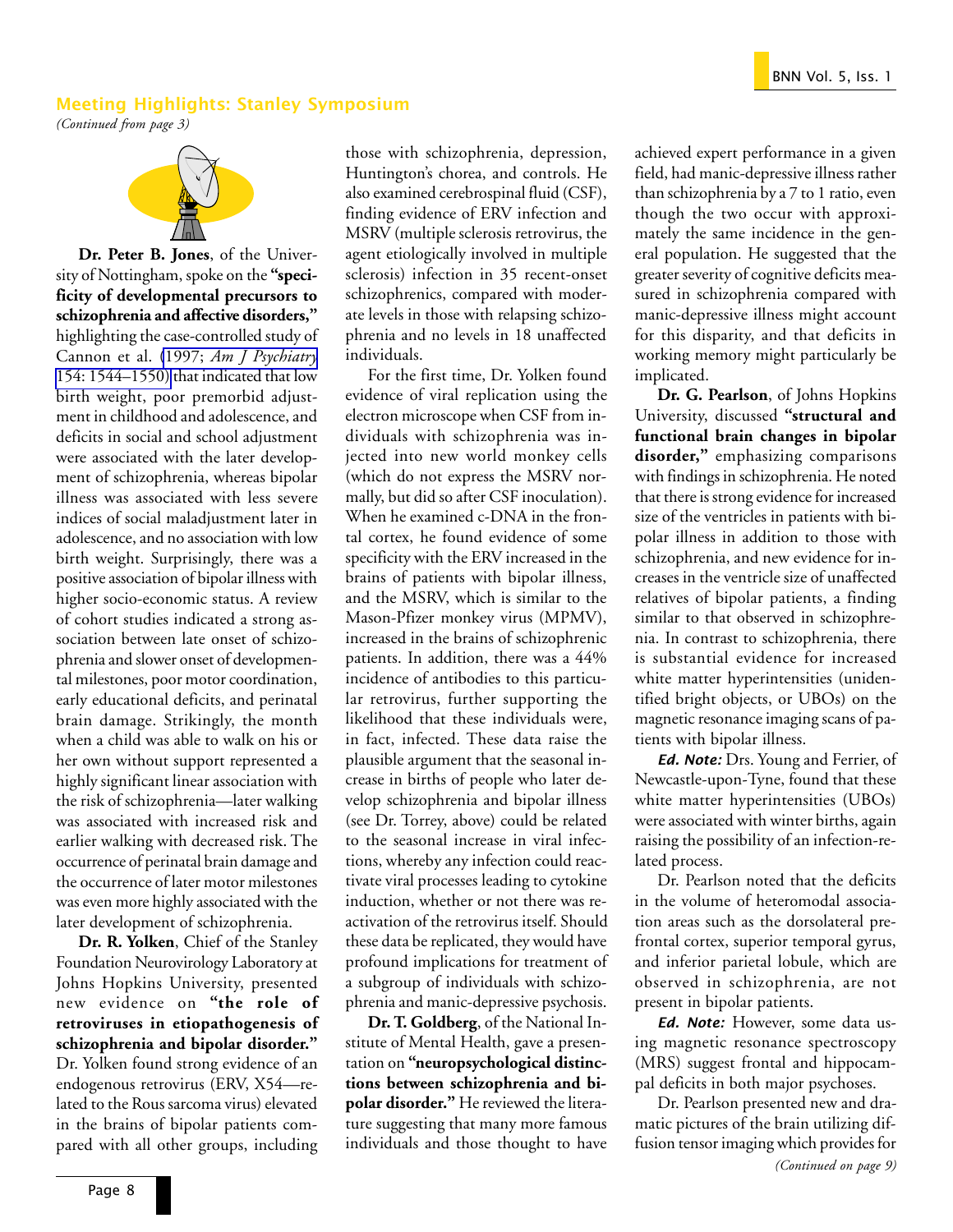### Meeting Highlights: Stanley Symposium

*(Continued from page 3)*



**Dr. Peter B. Jones**, of the University of Nottingham, spoke on the **"specificity of developmental precursors to schizophrenia and affective disorders,"** highlighting the case-controlled study of Cannon et al. (1997; *[Am J Psychiatry](http://www.ncbi.nlm.nih.gov/entrez/query.fcgi?cmd=Retrieve&db=PubMed&list_uids=9356562&dopt=Abstract)* [154: 1544–1550\)](http://www.ncbi.nlm.nih.gov/entrez/query.fcgi?cmd=Retrieve&db=PubMed&list_uids=9356562&dopt=Abstract) that indicated that low birth weight, poor premorbid adjustment in childhood and adolescence, and deficits in social and school adjustment were associated with the later development of schizophrenia, whereas bipolar illness was associated with less severe indices of social maladjustment later in adolescence, and no association with low birth weight. Surprisingly, there was a positive association of bipolar illness with higher socio-economic status. A review of cohort studies indicated a strong association between late onset of schizophrenia and slower onset of developmental milestones, poor motor coordination, early educational deficits, and perinatal brain damage. Strikingly, the month when a child was able to walk on his or her own without support represented a highly significant linear association with the risk of schizophrenia—later walking was associated with increased risk and earlier walking with decreased risk. The occurrence of perinatal brain damage and the occurrence of later motor milestones was even more highly associated with the later development of schizophrenia.

**Dr. R. Yolken**, Chief of the Stanley Foundation Neurovirology Laboratory at Johns Hopkins University, presented new evidence on **"the role of retroviruses in etiopathogenesis of schizophrenia and bipolar disorder."** Dr. Yolken found strong evidence of an endogenous retrovirus (ERV, X54—related to the Rous sarcoma virus) elevated in the brains of bipolar patients compared with all other groups, including

those with schizophrenia, depression, Huntington's chorea, and controls. He also examined cerebrospinal fluid (CSF), finding evidence of ERV infection and MSRV (multiple sclerosis retrovirus, the agent etiologically involved in multiple sclerosis) infection in 35 recent-onset schizophrenics, compared with moderate levels in those with relapsing schizophrenia and no levels in 18 unaffected individuals.

For the first time, Dr. Yolken found evidence of viral replication using the electron microscope when CSF from individuals with schizophrenia was injected into new world monkey cells (which do not express the MSRV normally, but did so after CSF inoculation). When he examined c-DNA in the frontal cortex, he found evidence of some specificity with the ERV increased in the brains of patients with bipolar illness, and the MSRV, which is similar to the Mason-Pfizer monkey virus (MPMV), increased in the brains of schizophrenic patients. In addition, there was a 44% incidence of antibodies to this particular retrovirus, further supporting the likelihood that these individuals were, in fact, infected. These data raise the plausible argument that the seasonal increase in births of people who later develop schizophrenia and bipolar illness (see Dr. Torrey, above) could be related to the seasonal increase in viral infections, whereby any infection could reactivate viral processes leading to cytokine induction, whether or not there was reactivation of the retrovirus itself. Should these data be replicated, they would have profound implications for treatment of a subgroup of individuals with schizophrenia and manic-depressive psychosis.

**Dr. T. Goldberg**, of the National Institute of Mental Health, gave a presentation on **"neuropsychological distinctions between schizophrenia and bipolar disorder."** He reviewed the literature suggesting that many more famous individuals and those thought to have achieved expert performance in a given field, had manic-depressive illness rather than schizophrenia by a 7 to 1 ratio, even though the two occur with approximately the same incidence in the general population. He suggested that the greater severity of cognitive deficits measured in schizophrenia compared with manic-depressive illness might account for this disparity, and that deficits in working memory might particularly be implicated.

**Dr. G. Pearlson**, of Johns Hopkins University, discussed **"structural and functional brain changes in bipolar disorder,"** emphasizing comparisons with findings in schizophrenia. He noted that there is strong evidence for increased size of the ventricles in patients with bipolar illness in addition to those with schizophrenia, and new evidence for increases in the ventricle size of unaffected relatives of bipolar patients, a finding similar to that observed in schizophrenia. In contrast to schizophrenia, there is substantial evidence for increased white matter hyperintensities (unidentified bright objects, or UBOs) on the magnetic resonance imaging scans of patients with bipolar illness.

Ed. Note: Drs. Young and Ferrier, of Newcastle-upon-Tyne, found that these white matter hyperintensities (UBOs) were associated with winter births, again raising the possibility of an infection-related process.

Dr. Pearlson noted that the deficits in the volume of heteromodal association areas such as the dorsolateral prefrontal cortex, superior temporal gyrus, and inferior parietal lobule, which are observed in schizophrenia, are not present in bipolar patients.

Ed. Note: However, some data using magnetic resonance spectroscopy (MRS) suggest frontal and hippocampal deficits in both major psychoses.

Dr. Pearlson presented new and dramatic pictures of the brain utilizing diffusion tensor imaging which provides for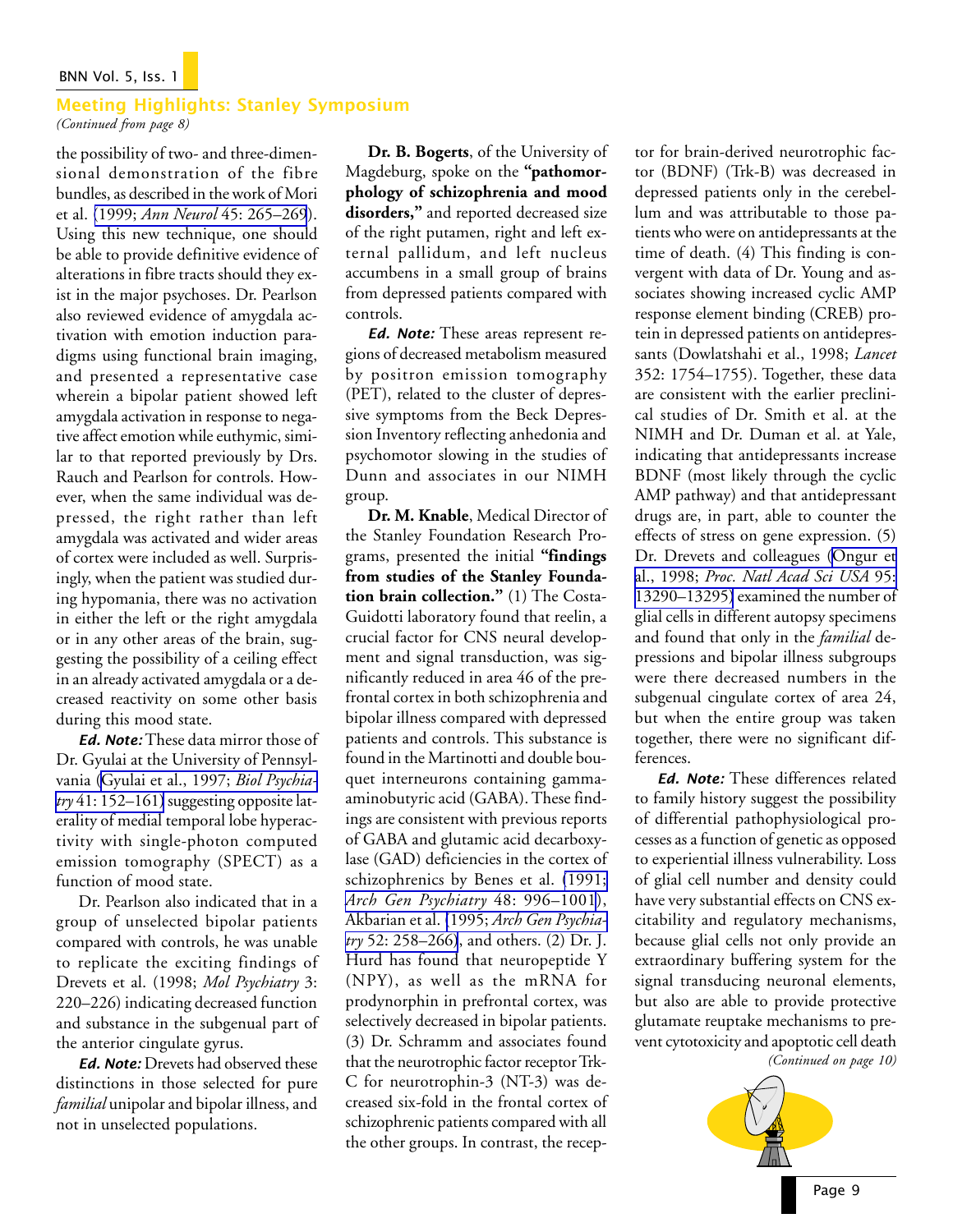### BNN Vol. 5, Iss. 1

## Meeting Highlights: Stanley Symposium

*(Continued from page 8)*

the possibility of two- and three-dimensional demonstration of the fibre bundles, as described in the work of Mori et al. (1999; *Ann Neurol* [45: 265–269](http://www.ncbi.nlm.nih.gov/entrez/query.fcgi?cmd=Retrieve&db=PubMed&list_uids=9989633&dopt=Abstract)). Using this new technique, one should be able to provide definitive evidence of alterations in fibre tracts should they exist in the major psychoses. Dr. Pearlson also reviewed evidence of amygdala activation with emotion induction paradigms using functional brain imaging, and presented a representative case wherein a bipolar patient showed left amygdala activation in response to negative affect emotion while euthymic, similar to that reported previously by Drs. Rauch and Pearlson for controls. However, when the same individual was depressed, the right rather than left amygdala was activated and wider areas of cortex were included as well. Surprisingly, when the patient was studied during hypomania, there was no activation in either the left or the right amygdala or in any other areas of the brain, suggesting the possibility of a ceiling effect in an already activated amygdala or a decreased reactivity on some other basis during this mood state.

Ed. Note: These data mirror those of Dr. Gyulai at the University of Pennsylvania ([Gyulai et al., 1997;](http://www.ncbi.nlm.nih.gov/entrez/query.fcgi?cmd=Retrieve&db=PubMed&list_uids=9018385&dopt=Abstract) *Biol Psychiatry* [41: 152–161\)](http://www.ncbi.nlm.nih.gov/entrez/query.fcgi?cmd=Retrieve&db=PubMed&list_uids=9018385&dopt=Abstract) suggesting opposite laterality of medial temporal lobe hyperactivity with single-photon computed emission tomography (SPECT) as a function of mood state.

Dr. Pearlson also indicated that in a group of unselected bipolar patients compared with controls, he was unable to replicate the exciting findings of Drevets et al. (1998; *Mol Psychiatry* 3: 220–226) indicating decreased function and substance in the subgenual part of the anterior cingulate gyrus.

Ed. Note: Drevets had observed these distinctions in those selected for pure *familial* unipolar and bipolar illness, and not in unselected populations.

**Dr. B. Bogerts**, of the University of Magdeburg, spoke on the **"pathomorphology of schizophrenia and mood disorders,"** and reported decreased size of the right putamen, right and left external pallidum, and left nucleus accumbens in a small group of brains from depressed patients compared with controls.

Ed. Note: These areas represent regions of decreased metabolism measured by positron emission tomography (PET), related to the cluster of depressive symptoms from the Beck Depression Inventory reflecting anhedonia and psychomotor slowing in the studies of Dunn and associates in our NIMH group.

**Dr. M. Knable**, Medical Director of the Stanley Foundation Research Programs, presented the initial **"findings from studies of the Stanley Foundation brain collection."** (1) The Costa-Guidotti laboratory found that reelin, a crucial factor for CNS neural development and signal transduction, was significantly reduced in area 46 of the prefrontal cortex in both schizophrenia and bipolar illness compared with depressed patients and controls. This substance is found in the Martinotti and double bouquet interneurons containing gammaaminobutyric acid (GABA). These findings are consistent with previous reports of GABA and glutamic acid decarboxylase (GAD) deficiencies in the cortex of schizophrenics by Benes et al. [\(1991;](http://www.ncbi.nlm.nih.gov/entrez/query.fcgi?cmd=Retrieve&db=PubMed&list_uids=1747023&dopt=Abstract) *[Arch Gen Psychiatry](http://www.ncbi.nlm.nih.gov/entrez/query.fcgi?cmd=Retrieve&db=PubMed&list_uids=1747023&dopt=Abstract)* 48: 996–1001), Akbarian et al. (1995; *[Arch Gen Psychia](http://www.ncbi.nlm.nih.gov/entrez/query.fcgi?cmd=Retrieve&db=PubMed&list_uids=7702443&dopt=Abstract)try* [52: 258–266\)](http://www.ncbi.nlm.nih.gov/entrez/query.fcgi?cmd=Retrieve&db=PubMed&list_uids=7702443&dopt=Abstract), and others. (2) Dr. J. Hurd has found that neuropeptide Y (NPY), as well as the mRNA for prodynorphin in prefrontal cortex, was selectively decreased in bipolar patients. (3) Dr. Schramm and associates found that the neurotrophic factor receptor Trk-C for neurotrophin-3 (NT-3) was decreased six-fold in the frontal cortex of schizophrenic patients compared with all the other groups. In contrast, the receptor for brain-derived neurotrophic factor (BDNF) (Trk-B) was decreased in depressed patients only in the cerebellum and was attributable to those patients who were on antidepressants at the time of death. (4) This finding is convergent with data of Dr. Young and associates showing increased cyclic AMP response element binding (CREB) protein in depressed patients on antidepressants (Dowlatshahi et al., 1998; *Lancet* 352: 1754–1755). Together, these data are consistent with the earlier preclinical studies of Dr. Smith et al. at the NIMH and Dr. Duman et al. at Yale, indicating that antidepressants increase BDNF (most likely through the cyclic AMP pathway) and that antidepressant drugs are, in part, able to counter the effects of stress on gene expression. (5) Dr. Drevets and colleagues ([Ongur et](http://www.ncbi.nlm.nih.gov/entrez/query.fcgi?cmd=Retrieve&db=PubMed&list_uids=9789081&dopt=Abstract) al., 1998; *[Proc. Natl Acad Sci USA](http://www.ncbi.nlm.nih.gov/entrez/query.fcgi?cmd=Retrieve&db=PubMed&list_uids=9789081&dopt=Abstract)* 95: [13290–13295\)](http://www.ncbi.nlm.nih.gov/entrez/query.fcgi?cmd=Retrieve&db=PubMed&list_uids=9789081&dopt=Abstract) examined the number of glial cells in different autopsy specimens and found that only in the *familial* depressions and bipolar illness subgroups were there decreased numbers in the subgenual cingulate cortex of area 24, but when the entire group was taken together, there were no significant differences.

Ed. Note: These differences related to family history suggest the possibility of differential pathophysiological processes as a function of genetic as opposed to experiential illness vulnerability. Loss of glial cell number and density could have very substantial effects on CNS excitability and regulatory mechanisms, because glial cells not only provide an extraordinary buffering system for the signal transducing neuronal elements, but also are able to provide protective glutamate reuptake mechanisms to prevent cytotoxicity and apoptotic cell death

*(Continued on page 10)*

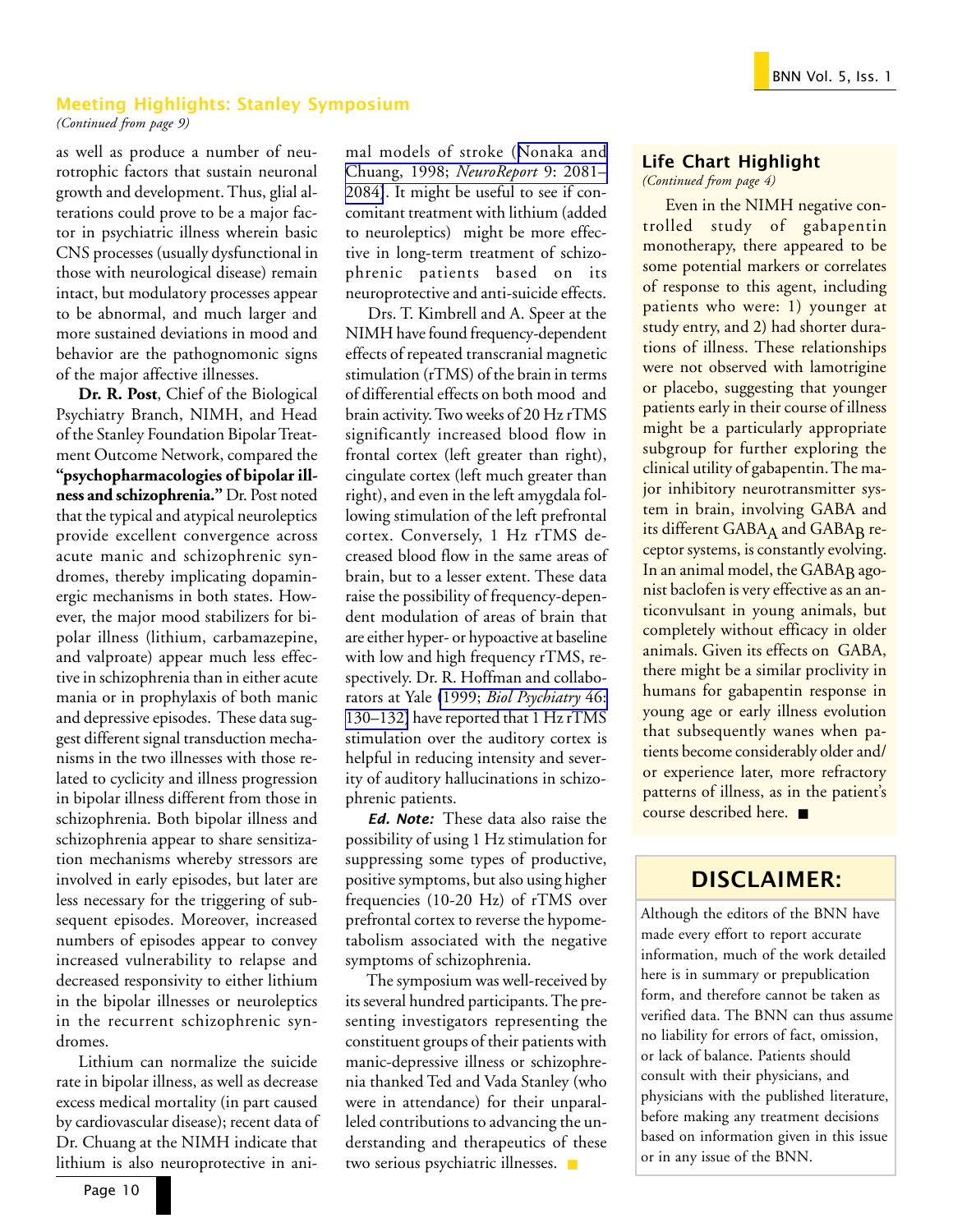### Meeting Highlights: Stanley Symposium

*(Continued from page 9)*

as well as produce a number of neurotrophic factors that sustain neuronal growth and development. Thus, glial alterations could prove to be a major factor in psychiatric illness wherein basic CNS processes (usually dysfunctional in those with neurological disease) remain intact, but modulatory processes appear to be abnormal, and much larger and more sustained deviations in mood and behavior are the pathognomonic signs of the major affective illnesses.

**Dr. R. Post**, Chief of the Biological Psychiatry Branch, NIMH, and Head of the Stanley Foundation Bipolar Treatment Outcome Network, compared the **"psychopharmacologies of bipolar illness and schizophrenia."** Dr. Post noted that the typical and atypical neuroleptics provide excellent convergence across acute manic and schizophrenic syndromes, thereby implicating dopaminergic mechanisms in both states. However, the major mood stabilizers for bipolar illness (lithium, carbamazepine, and valproate) appear much less effective in schizophrenia than in either acute mania or in prophylaxis of both manic and depressive episodes. These data suggest different signal transduction mechanisms in the two illnesses with those related to cyclicity and illness progression in bipolar illness different from those in schizophrenia. Both bipolar illness and schizophrenia appear to share sensitization mechanisms whereby stressors are involved in early episodes, but later are less necessary for the triggering of subsequent episodes. Moreover, increased numbers of episodes appear to convey increased vulnerability to relapse and decreased responsivity to either lithium in the bipolar illnesses or neuroleptics in the recurrent schizophrenic syndromes.

Lithium can normalize the suicide rate in bipolar illness, as well as decrease excess medical mortality (in part caused by cardiovascular disease); recent data of Dr. Chuang at the NIMH indicate that lithium is also neuroprotective in animal models of stroke ([Nonaka and](http://www.ncbi.nlm.nih.gov/entrez/query.fcgi?cmd=Retrieve&db=PubMed&list_uids=9674597&dopt=Abstract) [Chuang, 1998;](http://www.ncbi.nlm.nih.gov/entrez/query.fcgi?cmd=Retrieve&db=PubMed&list_uids=9674597&dopt=Abstract) *NeuroReport* 9: 2081– [2084\)](http://www.ncbi.nlm.nih.gov/entrez/query.fcgi?cmd=Retrieve&db=PubMed&list_uids=9674597&dopt=Abstract). It might be useful to see if concomitant treatment with lithium (added to neuroleptics) might be more effective in long-term treatment of schizophrenic patients based on its neuroprotective and anti-suicide effects.

Drs. T. Kimbrell and A. Speer at the NIMH have found frequency-dependent effects of repeated transcranial magnetic stimulation (rTMS) of the brain in terms of differential effects on both mood and brain activity. Two weeks of 20 Hz rTMS significantly increased blood flow in frontal cortex (left greater than right), cingulate cortex (left much greater than right), and even in the left amygdala following stimulation of the left prefrontal cortex. Conversely, 1 Hz rTMS decreased blood flow in the same areas of brain, but to a lesser extent. These data raise the possibility of frequency-dependent modulation of areas of brain that are either hyper- or hypoactive at baseline with low and high frequency rTMS, respectively. Dr. R. Hoffman and collaborators at Yale (1999; *[Biol Psychiatry](http://www.ncbi.nlm.nih.gov/entrez/query.fcgi?cmd=Retrieve&db=PubMed&list_uids=10394483&dopt=Abstract)* 46: [130–132\)](http://www.ncbi.nlm.nih.gov/entrez/query.fcgi?cmd=Retrieve&db=PubMed&list_uids=10394483&dopt=Abstract) have reported that 1 Hz rTMS stimulation over the auditory cortex is helpful in reducing intensity and severity of auditory hallucinations in schizophrenic patients.

Ed. Note: These data also raise the possibility of using 1 Hz stimulation for suppressing some types of productive, positive symptoms, but also using higher frequencies (10-20 Hz) of rTMS over prefrontal cortex to reverse the hypometabolism associated with the negative symptoms of schizophrenia.

The symposium was well-received by its several hundred participants. The presenting investigators representing the constituent groups of their patients with manic-depressive illness or schizophrenia thanked Ted and Vada Stanley (who were in attendance) for their unparalleled contributions to advancing the understanding and therapeutics of these two serious psychiatric illnesses. ■

### Life Chart Highlight

*(Continued from page 4)*

Even in the NIMH negative controlled study of gabapentin monotherapy, there appeared to be some potential markers or correlates of response to this agent, including patients who were: 1) younger at study entry, and 2) had shorter durations of illness. These relationships were not observed with lamotrigine or placebo, suggesting that younger patients early in their course of illness might be a particularly appropriate subgroup for further exploring the clinical utility of gabapentin. The major inhibitory neurotransmitter system in brain, involving GABA and its different GABAA and GABAB receptor systems, is constantly evolving. In an animal model, the GABA<sub>B</sub> agonist baclofen is very effective as an anticonvulsant in young animals, but completely without efficacy in older animals. Given its effects on GABA, there might be a similar proclivity in humans for gabapentin response in young age or early illness evolution that subsequently wanes when patients become considerably older and/ or experience later, more refractory patterns of illness, as in the patient's course described here. ■

## DISCLAIMER:

Although the editors of the BNN have made every effort to report accurate information, much of the work detailed here is in summary or prepublication form, and therefore cannot be taken as verified data. The BNN can thus assume no liability for errors of fact, omission, or lack of balance. Patients should consult with their physicians, and physicians with the published literature, before making any treatment decisions based on information given in this issue or in any issue of the BNN.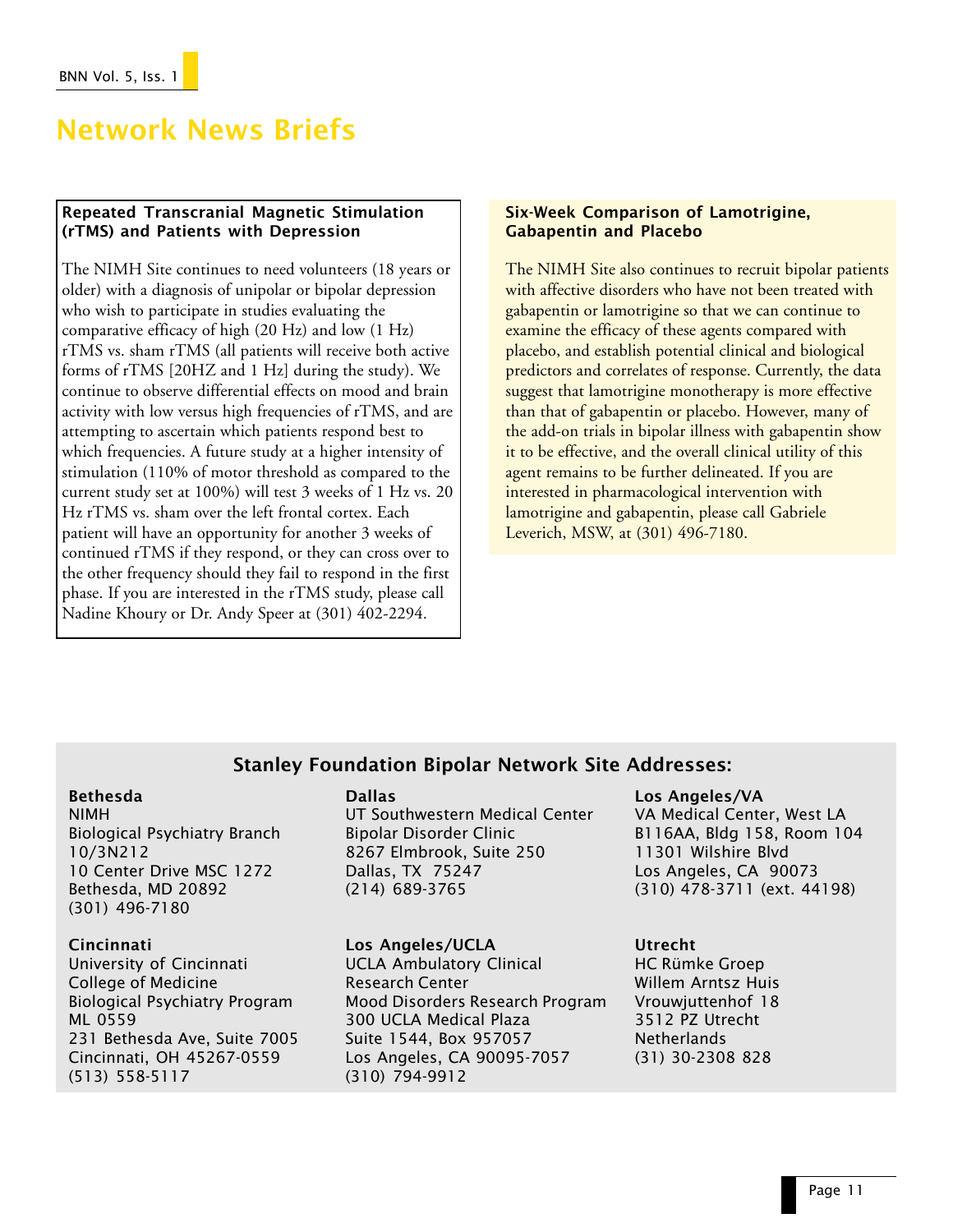# Network News Briefs

### Repeated Transcranial Magnetic Stimulation (rTMS) and Patients with Depression

The NIMH Site continues to need volunteers (18 years or older) with a diagnosis of unipolar or bipolar depression who wish to participate in studies evaluating the comparative efficacy of high (20 Hz) and low (1 Hz) rTMS vs. sham rTMS (all patients will receive both active forms of rTMS [20HZ and 1 Hz] during the study). We continue to observe differential effects on mood and brain activity with low versus high frequencies of rTMS, and are attempting to ascertain which patients respond best to which frequencies. A future study at a higher intensity of stimulation (110% of motor threshold as compared to the current study set at 100%) will test 3 weeks of 1 Hz vs. 20 Hz rTMS vs. sham over the left frontal cortex. Each patient will have an opportunity for another 3 weeks of continued rTMS if they respond, or they can cross over to the other frequency should they fail to respond in the first phase. If you are interested in the rTMS study, please call Nadine Khoury or Dr. Andy Speer at (301) 402-2294.

### Six-Week Comparison of Lamotrigine, Gabapentin and Placebo

The NIMH Site also continues to recruit bipolar patients with affective disorders who have not been treated with gabapentin or lamotrigine so that we can continue to examine the efficacy of these agents compared with placebo, and establish potential clinical and biological predictors and correlates of response. Currently, the data suggest that lamotrigine monotherapy is more effective than that of gabapentin or placebo. However, many of the add-on trials in bipolar illness with gabapentin show it to be effective, and the overall clinical utility of this agent remains to be further delineated. If you are interested in pharmacological intervention with lamotrigine and gabapentin, please call Gabriele Leverich, MSW, at (301) 496-7180.

### Stanley Foundation Bipolar Network Site Addresses:

### Bethesda

NIMH Biological Psychiatry Branch 10/3N212 10 Center Drive MSC 1272 Bethesda, MD 20892 (301) 496-7180

### Cincinnati

University of Cincinnati College of Medicine Biological Psychiatry Program ML 0559 231 Bethesda Ave, Suite 7005 Cincinnati, OH 45267-0559 (513) 558-5117

### Dallas

UT Southwestern Medical Center Bipolar Disorder Clinic 8267 Elmbrook, Suite 250 Dallas, TX 75247 (214) 689-3765

### Los Angeles/UCLA

UCLA Ambulatory Clinical Research Center Mood Disorders Research Program 300 UCLA Medical Plaza Suite 1544, Box 957057 Los Angeles, CA 90095-7057 (310) 794-9912

### Los Angeles/VA

VA Medical Center, West LA B116AA, Bldg 158, Room 104 11301 Wilshire Blvd Los Angeles, CA 90073 (310) 478-3711 (ext. 44198)

### Utrecht

HC Rümke Groep Willem Arntsz Huis Vrouwjuttenhof 18 3512 PZ Utrecht Netherlands (31) 30-2308 828